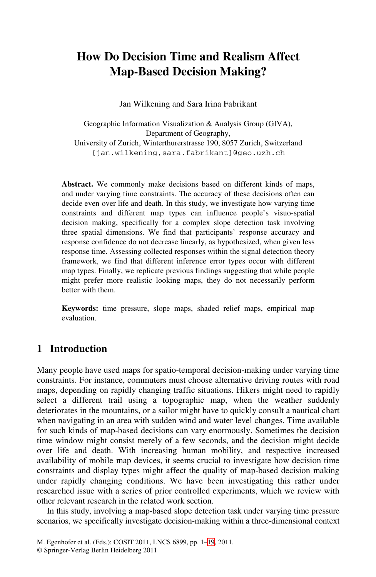# **How Do Decision Time and Realism Affect Map-Based Decision Making?**

Jan Wilkening and Sara Irina Fabrikant

Geographic Information Visualization & Analysis Group (GIVA), Department of Geography, University of Zurich, Winterthurerstrasse 190, 8057 Zurich, Switzerland {jan.wilkening,sara.fabrikant}@geo.uzh.ch

**Abstract.** We commonly make decisions based on different kinds of maps, and under varying time constraints. The accuracy of these decisions often can decide even over life and death. In this study, we investigate how varying time constraints and different map types can influence people's visuo-spatial decision making, specifically for a complex slope detection task involving three spatial dimensions. We find that participants' response accuracy and response confidence do not decrease linearly, as hypothesized, when given less response time. Assessing collected responses within the signal detection theory framework, we find that different inference error types occur with different map types. Finally, we replicate previous findings suggesting that while people might prefer more realistic looking maps, they do not necessarily perform better with them.

**Keywords:** time pressure, slope maps, shaded relief maps, empirical map evaluation.

#### **1 Introduction**

Many people have used maps for spatio-temporal decision-making under varying time constraints. For instance, commuters must choose alternative driving routes with road maps, depending on rapidly changing traffic situations. Hikers might need to rapidly select a different trail using a topographic map, when the weather suddenly deteriorates in the mountains, or a sailor might have to quickly consult a nautical chart when navigating in an area with sudden wind and water level changes. Time available for such kinds of map-based decisions can vary enormously. Sometimes the decision time window might consist merely of a few seconds, and the decision might decide over life and death. With increasing human mobility, and respective increased availability of mobile map [de](#page-18-0)vices, it seems crucial to investigate how decision time constraints and display types might affect the quality of map-based decision making under rapidly changing conditions. We have been investigating this rather under researched issue with a series of prior controlled experiments, which we review with other relevant research in the related work section.

In this study, involving a map-based slope detection task under varying time pressure scenarios, we specifically investigate decision-making within a three-dimensional context

M. Egenhofer et al. (Eds.): COSIT 2011, LNCS 6899, pp. 1–19, 2011.

© Springer-Verlag Berlin Heidelberg 2011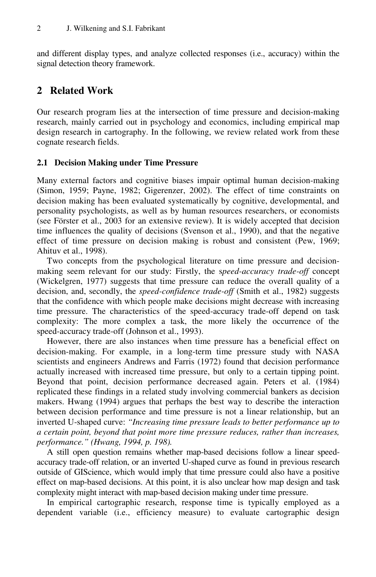and different display types, and analyze collected responses (i.e., accuracy) within the signal detection theory framework.

# **2 Related Work**

Our research program lies at the intersection of time pressure and decision-making research, mainly carried out in psychology and economics, including empirical map design research in cartography. In the following, we review related work from these cognate research fields.

#### **2.1 Decision Making under Time Pressure**

Many external factors and cognitive biases impair optimal human decision-making (Simon, 1959; Payne, 1982; Gigerenzer, 2002). The effect of time constraints on decision making has been evaluated systematically by cognitive, developmental, and personality psychologists, as well as by human resources researchers, or economists (see Förster et al., 2003 for an extensive review). It is widely accepted that decision time influences the quality of decisions (Svenson et al., 1990), and that the negative effect of time pressure on decision making is robust and consistent (Pew, 1969; Ahituv et al., 1998).

Two concepts from the psychological literature on time pressure and decisionmaking seem relevant for our study: Firstly, the s*peed-accuracy trade-off* concept (Wickelgren, 1977) suggests that time pressure can reduce the overall quality of a decision, and, secondly, the *speed-confidence trade-off* (Smith et al., 1982) suggests that the confidence with which people make decisions might decrease with increasing time pressure. The characteristics of the speed-accuracy trade-off depend on task complexity: The more complex a task, the more likely the occurrence of the speed-accuracy trade-off (Johnson et al., 1993).

However, there are also instances when time pressure has a beneficial effect on decision-making. For example, in a long-term time pressure study with NASA scientists and engineers Andrews and Farris (1972) found that decision performance actually increased with increased time pressure, but only to a certain tipping point. Beyond that point, decision performance decreased again. Peters et al. (1984) replicated these findings in a related study involving commercial bankers as decision makers. Hwang (1994) argues that perhaps the best way to describe the interaction between decision performance and time pressure is not a linear relationship, but an inverted U-shaped curve: *"Increasing time pressure leads to better performance up to a certain point, beyond that point more time pressure reduces, rather than increases, performance." (Hwang, 1994, p. 198).* 

A still open question remains whether map-based decisions follow a linear speedaccuracy trade-off relation, or an inverted U-shaped curve as found in previous research outside of GIScience, which would imply that time pressure could also have a positive effect on map-based decisions. At this point, it is also unclear how map design and task complexity might interact with map-based decision making under time pressure.

In empirical cartographic research, response time is typically employed as a dependent variable (i.e., efficiency measure) to evaluate cartographic design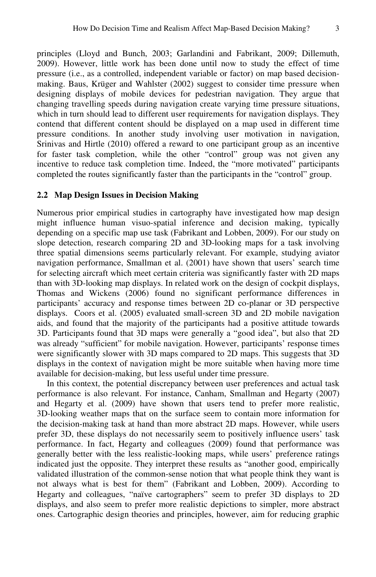principles (Lloyd and Bunch, 2003; Garlandini and Fabrikant, 2009; Dillemuth, 2009). However, little work has been done until now to study the effect of time pressure (i.e., as a controlled, independent variable or factor) on map based decisionmaking. Baus, Krüger and Wahlster (2002) suggest to consider time pressure when designing displays of mobile devices for pedestrian navigation. They argue that changing travelling speeds during navigation create varying time pressure situations, which in turn should lead to different user requirements for navigation displays. They contend that different content should be displayed on a map used in different time pressure conditions. In another study involving user motivation in navigation, Srinivas and Hirtle (2010) offered a reward to one participant group as an incentive for faster task completion, while the other "control" group was not given any incentive to reduce task completion time. Indeed, the "more motivated" participants completed the routes significantly faster than the participants in the "control" group.

#### **2.2 Map Design Issues in Decision Making**

Numerous prior empirical studies in cartography have investigated how map design might influence human visuo-spatial inference and decision making, typically depending on a specific map use task (Fabrikant and Lobben, 2009). For our study on slope detection, research comparing 2D and 3D-looking maps for a task involving three spatial dimensions seems particularly relevant. For example, studying aviator navigation performance, Smallman et al. (2001) have shown that users' search time for selecting aircraft which meet certain criteria was significantly faster with 2D maps than with 3D-looking map displays. In related work on the design of cockpit displays, Thomas and Wickens (2006) found no significant performance differences in participants' accuracy and response times between 2D co-planar or 3D perspective displays. Coors et al. (2005) evaluated small-screen 3D and 2D mobile navigation aids, and found that the majority of the participants had a positive attitude towards 3D. Participants found that 3D maps were generally a "good idea", but also that 2D was already "sufficient" for mobile navigation. However, participants' response times were significantly slower with 3D maps compared to 2D maps. This suggests that 3D displays in the context of navigation might be more suitable when having more time available for decision-making, but less useful under time pressure.

In this context, the potential discrepancy between user preferences and actual task performance is also relevant. For instance, Canham, Smallman and Hegarty (2007) and Hegarty et al. (2009) have shown that users tend to prefer more realistic, 3D-looking weather maps that on the surface seem to contain more information for the decision-making task at hand than more abstract 2D maps. However, while users prefer 3D, these displays do not necessarily seem to positively influence users' task performance. In fact, Hegarty and colleagues (2009) found that performance was generally better with the less realistic-looking maps, while users' preference ratings indicated just the opposite. They interpret these results as "another good, empirically validated illustration of the common-sense notion that what people think they want is not always what is best for them" (Fabrikant and Lobben, 2009). According to Hegarty and colleagues, "naïve cartographers" seem to prefer 3D displays to 2D displays, and also seem to prefer more realistic depictions to simpler, more abstract ones. Cartographic design theories and principles, however, aim for reducing graphic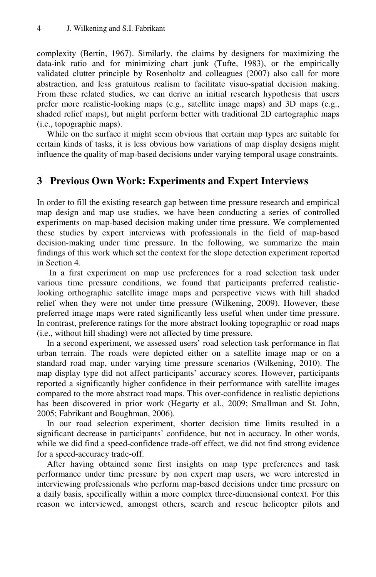complexity (Bertin, 1967). Similarly, the claims by designers for maximizing the data-ink ratio and for minimizing chart junk (Tufte, 1983), or the empirically validated clutter principle by Rosenholtz and colleagues (2007) also call for more abstraction, and less gratuitous realism to facilitate visuo-spatial decision making. From these related studies, we can derive an initial research hypothesis that users prefer more realistic-looking maps (e.g., satellite image maps) and 3D maps (e.g., shaded relief maps), but might perform better with traditional 2D cartographic maps (i.e., topographic maps).

While on the surface it might seem obvious that certain map types are suitable for certain kinds of tasks, it is less obvious how variations of map display designs might influence the quality of map-based decisions under varying temporal usage constraints.

# **3 Previous Own Work: Experiments and Expert Interviews**

In order to fill the existing research gap between time pressure research and empirical map design and map use studies, we have been conducting a series of controlled experiments on map-based decision making under time pressure. We complemented these studies by expert interviews with professionals in the field of map-based decision-making under time pressure. In the following, we summarize the main findings of this work which set the context for the slope detection experiment reported in Section 4.

In a first experiment on map use preferences for a road selection task under various time pressure conditions, we found that participants preferred realisticlooking orthographic satellite image maps and perspective views with hill shaded relief when they were not under time pressure (Wilkening, 2009). However, these preferred image maps were rated significantly less useful when under time pressure. In contrast, preference ratings for the more abstract looking topographic or road maps (i.e., without hill shading) were not affected by time pressure.

In a second experiment, we assessed users' road selection task performance in flat urban terrain. The roads were depicted either on a satellite image map or on a standard road map, under varying time pressure scenarios (Wilkening, 2010). The map display type did not affect participants' accuracy scores. However, participants reported a significantly higher confidence in their performance with satellite images compared to the more abstract road maps. This over-confidence in realistic depictions has been discovered in prior work (Hegarty et al., 2009; Smallman and St. John, 2005; Fabrikant and Boughman, 2006).

In our road selection experiment, shorter decision time limits resulted in a significant decrease in participants' confidence, but not in accuracy. In other words, while we did find a speed-confidence trade-off effect, we did not find strong evidence for a speed-accuracy trade-off.

After having obtained some first insights on map type preferences and task performance under time pressure by non expert map users, we were interested in interviewing professionals who perform map-based decisions under time pressure on a daily basis, specifically within a more complex three-dimensional context. For this reason we interviewed, amongst others, search and rescue helicopter pilots and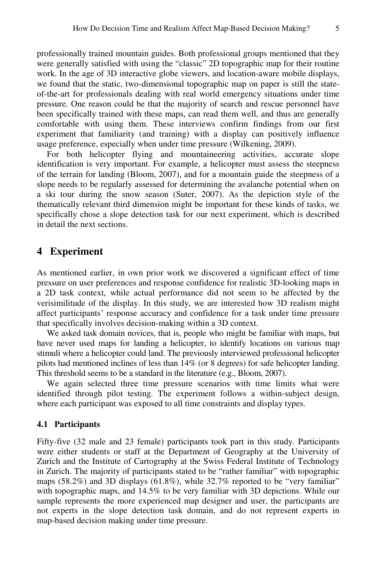professionally trained mountain guides. Both professional groups mentioned that they were generally satisfied with using the "classic" 2D topographic map for their routine work. In the age of 3D interactive globe viewers, and location-aware mobile displays, we found that the static, two-dimensional topographic map on paper is still the stateof-the-art for professionals dealing with real world emergency situations under time pressure. One reason could be that the majority of search and rescue personnel have been specifically trained with these maps, can read them well, and thus are generally comfortable with using them. These interviews confirm findings from our first experiment that familiarity (and training) with a display can positively influence usage preference, especially when under time pressure (Wilkening, 2009).

For both helicopter flying and mountaineering activities, accurate slope identification is very important. For example, a helicopter must assess the steepness of the terrain for landing (Bloom, 2007), and for a mountain guide the steepness of a slope needs to be regularly assessed for determining the avalanche potential when on a ski tour during the snow season (Suter, 2007). As the depiction style of the thematically relevant third dimension might be important for these kinds of tasks, we specifically chose a slope detection task for our next experiment, which is described in detail the next sections.

## **4 Experiment**

As mentioned earlier, in own prior work we discovered a significant effect of time pressure on user preferences and response confidence for realistic 3D-looking maps in a 2D task context, while actual performance did not seem to be affected by the verisimilitude of the display. In this study, we are interested how 3D realism might affect participants' response accuracy and confidence for a task under time pressure that specifically involves decision-making within a 3D context.

We asked task domain novices, that is, people who might be familiar with maps, but have never used maps for landing a helicopter, to identify locations on various map stimuli where a helicopter could land. The previously interviewed professional helicopter pilots had mentioned inclines of less than 14% (or 8 degrees) for safe helicopter landing. This threshold seems to be a standard in the literature (e.g., Bloom, 2007).

We again selected three time pressure scenarios with time limits what were identified through pilot testing. The experiment follows a within-subject design, where each participant was exposed to all time constraints and display types.

#### **4.1 Participants**

Fifty-five (32 male and 23 female) participants took part in this study. Participants were either students or staff at the Department of Geography at the University of Zurich and the Institute of Cartography at the Swiss Federal Institute of Technology in Zurich. The majority of participants stated to be "rather familiar" with topographic maps (58.2%) and 3D displays (61.8%), while 32.7% reported to be "very familiar" with topographic maps, and 14.5% to be very familiar with 3D depictions. While our sample represents the more experienced map designer and user, the participants are not experts in the slope detection task domain, and do not represent experts in map-based decision making under time pressure.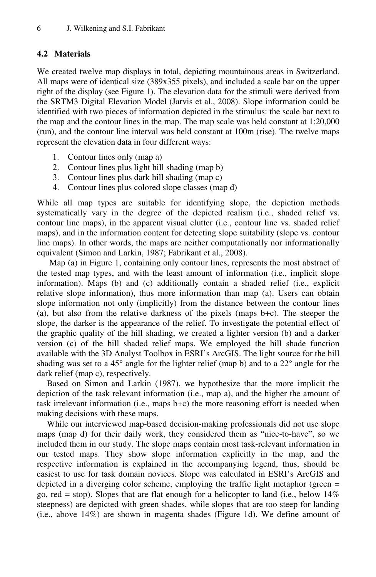### **4.2 Materials**

We created twelve map displays in total, depicting mountainous areas in Switzerland. All maps were of identical size (389x355 pixels), and included a scale bar on the upper right of the display (see Figure 1). The elevation data for the stimuli were derived from the SRTM3 Digital Elevation Model (Jarvis et al., 2008). Slope information could be identified with two pieces of information depicted in the stimulus: the scale bar next to the map and the contour lines in the map. The map scale was held constant at 1:20,000 (run), and the contour line interval was held constant at 100m (rise). The twelve maps represent the elevation data in four different ways:

- 1. Contour lines only (map a)
- 2. Contour lines plus light hill shading (map b)
- 3. Contour lines plus dark hill shading (map c)
- 4. Contour lines plus colored slope classes (map d)

While all map types are suitable for identifying slope, the depiction methods systematically vary in the degree of the depicted realism (i.e., shaded relief vs. contour line maps), in the apparent visual clutter (i.e., contour line vs. shaded relief maps), and in the information content for detecting slope suitability (slope vs. contour line maps). In other words, the maps are neither computationally nor informationally equivalent (Simon and Larkin, 1987; Fabrikant et al., 2008).

Map (a) in Figure 1, containing only contour lines, represents the most abstract of the tested map types, and with the least amount of information (i.e., implicit slope information). Maps (b) and (c) additionally contain a shaded relief (i.e., explicit relative slope information), thus more information than map (a). Users can obtain slope information not only (implicitly) from the distance between the contour lines (a), but also from the relative darkness of the pixels (maps b+c). The steeper the slope, the darker is the appearance of the relief. To investigate the potential effect of the graphic quality of the hill shading, we created a lighter version (b) and a darker version (c) of the hill shaded relief maps. We employed the hill shade function available with the 3D Analyst Toolbox in ESRI's ArcGIS. The light source for the hill shading was set to a 45° angle for the lighter relief (map b) and to a 22° angle for the dark relief (map c), respectively.

Based on Simon and Larkin (1987), we hypothesize that the more implicit the depiction of the task relevant information (i.e., map a), and the higher the amount of task irrelevant information (i.e., maps b+c) the more reasoning effort is needed when making decisions with these maps.

While our interviewed map-based decision-making professionals did not use slope maps (map d) for their daily work, they considered them as "nice-to-have", so we included them in our study. The slope maps contain most task-relevant information in our tested maps. They show slope information explicitly in the map, and the respective information is explained in the accompanying legend, thus, should be easiest to use for task domain novices. Slope was calculated in ESRI's ArcGIS and depicted in a diverging color scheme, employing the traffic light metaphor (green = go, red = stop). Slopes that are flat enough for a helicopter to land (i.e., below  $14\%$ steepness) are depicted with green shades, while slopes that are too steep for landing (i.e., above 14%) are shown in magenta shades (Figure 1d). We define amount of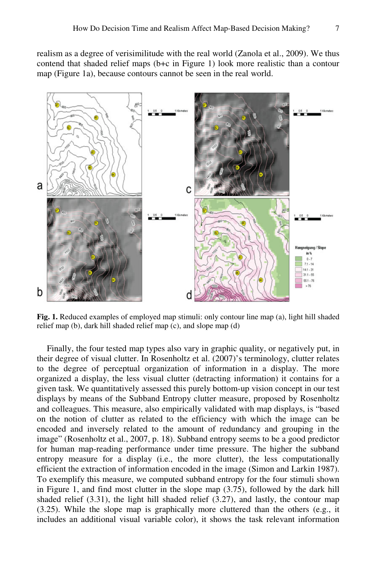realism as a degree of verisimilitude with the real world (Zanola et al., 2009). We thus contend that shaded relief maps (b+c in Figure 1) look more realistic than a contour map (Figure 1a), because contours cannot be seen in the real world.



**Fig. 1.** Reduced examples of employed map stimuli: only contour line map (a), light hill shaded relief map (b), dark hill shaded relief map (c), and slope map (d)

Finally, the four tested map types also vary in graphic quality, or negatively put, in their degree of visual clutter. In Rosenholtz et al. (2007)'s terminology, clutter relates to the degree of perceptual organization of information in a display. The more organized a display, the less visual clutter (detracting information) it contains for a given task. We quantitatively assessed this purely bottom-up vision concept in our test displays by means of the Subband Entropy clutter measure, proposed by Rosenholtz and colleagues. This measure, also empirically validated with map displays, is "based on the notion of clutter as related to the efficiency with which the image can be encoded and inversely related to the amount of redundancy and grouping in the image" (Rosenholtz et al., 2007, p. 18). Subband entropy seems to be a good predictor for human map-reading performance under time pressure. The higher the subband entropy measure for a display (i.e., the more clutter), the less computationally efficient the extraction of information encoded in the image (Simon and Larkin 1987). To exemplify this measure, we computed subband entropy for the four stimuli shown in Figure 1, and find most clutter in the slope map (3.75), followed by the dark hill shaded relief (3.31), the light hill shaded relief (3.27), and lastly, the contour map (3.25). While the slope map is graphically more cluttered than the others (e.g., it includes an additional visual variable color), it shows the task relevant information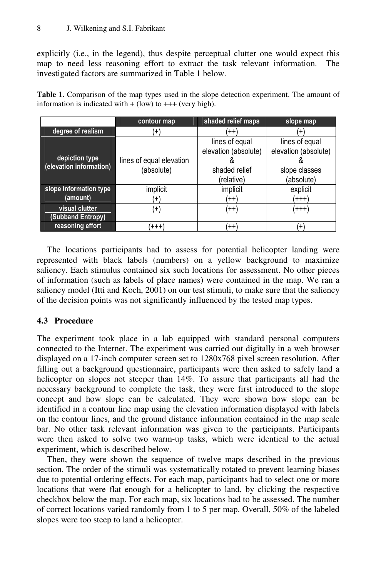explicitly (i.e., in the legend), thus despite perceptual clutter one would expect this map to need less reasoning effort to extract the task relevant information. The investigated factors are summarized in Table 1 below.

**Table 1.** Comparison of the map types used in the slope detection experiment. The amount of information is indicated with  $+$  (low) to  $+++$  (very high).

|                                           | contour map                            | shaded relief maps                                      | slope map                                               |
|-------------------------------------------|----------------------------------------|---------------------------------------------------------|---------------------------------------------------------|
| degree of realism                         | $+$                                    | $(++)$                                                  | $^{+}$                                                  |
| depiction type<br>(elevation information) | lines of equal elevation<br>(absolute) | lines of equal<br>elevation (absolute)<br>shaded relief | lines of equal<br>elevation (absolute)<br>slope classes |
|                                           |                                        | (relative)                                              | (absolute)                                              |
| slope information type                    | implicit                               | implicit                                                | explicit                                                |
| (amount)                                  | $+$                                    | (++)                                                    | (+++)                                                   |
| visual clutter<br>(Subband Entropy)       | $^{(+)}$                               | $(++)$                                                  | (+++)                                                   |
| reasoning effort                          | $(+++)$                                | (++)                                                    | $^{+}$                                                  |

The locations participants had to assess for potential helicopter landing were represented with black labels (numbers) on a yellow background to maximize saliency. Each stimulus contained six such locations for assessment. No other pieces of information (such as labels of place names) were contained in the map. We ran a saliency model (Itti and Koch, 2001) on our test stimuli, to make sure that the saliency of the decision points was not significantly influenced by the tested map types.

#### **4.3 Procedure**

The experiment took place in a lab equipped with standard personal computers connected to the Internet. The experiment was carried out digitally in a web browser displayed on a 17-inch computer screen set to 1280x768 pixel screen resolution. After filling out a background questionnaire, participants were then asked to safely land a helicopter on slopes not steeper than 14%. To assure that participants all had the necessary background to complete the task, they were first introduced to the slope concept and how slope can be calculated. They were shown how slope can be identified in a contour line map using the elevation information displayed with labels on the contour lines, and the ground distance information contained in the map scale bar. No other task relevant information was given to the participants. Participants were then asked to solve two warm-up tasks, which were identical to the actual experiment, which is described below.

Then, they were shown the sequence of twelve maps described in the previous section. The order of the stimuli was systematically rotated to prevent learning biases due to potential ordering effects. For each map, participants had to select one or more locations that were flat enough for a helicopter to land, by clicking the respective checkbox below the map. For each map, six locations had to be assessed. The number of correct locations varied randomly from 1 to 5 per map. Overall, 50% of the labeled slopes were too steep to land a helicopter.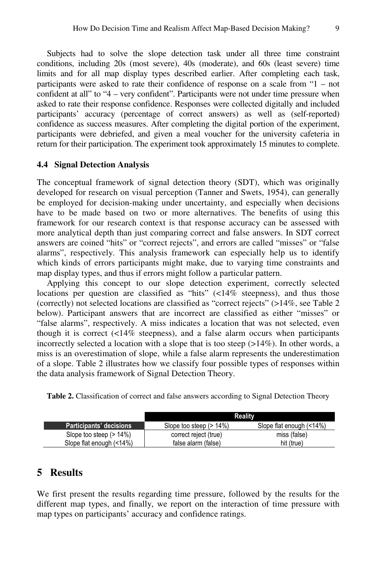Subjects had to solve the slope detection task under all three time constraint conditions, including 20s (most severe), 40s (moderate), and 60s (least severe) time limits and for all map display types described earlier. After completing each task, participants were asked to rate their confidence of response on a scale from "1 – not confident at all" to "4 – very confident". Participants were not under time pressure when asked to rate their response confidence. Responses were collected digitally and included participants' accuracy (percentage of correct answers) as well as (self-reported) confidence as success measures. After completing the digital portion of the experiment, participants were debriefed, and given a meal voucher for the university cafeteria in return for their participation. The experiment took approximately 15 minutes to complete.

#### **4.4 Signal Detection Analysis**

The conceptual framework of signal detection theory (SDT), which was originally developed for research on visual perception (Tanner and Swets, 1954), can generally be employed for decision-making under uncertainty, and especially when decisions have to be made based on two or more alternatives. The benefits of using this framework for our research context is that response accuracy can be assessed with more analytical depth than just comparing correct and false answers. In SDT correct answers are coined "hits" or "correct rejects", and errors are called "misses" or "false alarms", respectively. This analysis framework can especially help us to identify which kinds of errors participants might make, due to varying time constraints and map display types, and thus if errors might follow a particular pattern.

Applying this concept to our slope detection experiment, correctly selected locations per question are classified as "hits" (<14% steepness), and thus those (correctly) not selected locations are classified as "correct rejects" (>14%, see Table 2 below). Participant answers that are incorrect are classified as either "misses" or "false alarms", respectively. A miss indicates a location that was not selected, even though it is correct  $\left($ <14% steepness), and a false alarm occurs when participants incorrectly selected a location with a slope that is too steep  $(>14\%)$ . In other words, a miss is an overestimation of slope, while a false alarm represents the underestimation of a slope. Table 2 illustrates how we classify four possible types of responses within the data analysis framework of Signal Detection Theory.

**Table 2.** Classification of correct and false answers according to Signal Detection Theory

|                           | Reality                   |                          |
|---------------------------|---------------------------|--------------------------|
| Participants' decisions   | Slope too steep $(>14\%)$ | Slope flat enough (<14%) |
| Slope too steep $(>14\%)$ | correct reject (true)     | miss (false)             |
| Slope flat enough (<14%)  | false alarm (false)       | hit (true)               |

# **5 Results**

We first present the results regarding time pressure, followed by the results for the different map types, and finally, we report on the interaction of time pressure with map types on participants' accuracy and confidence ratings.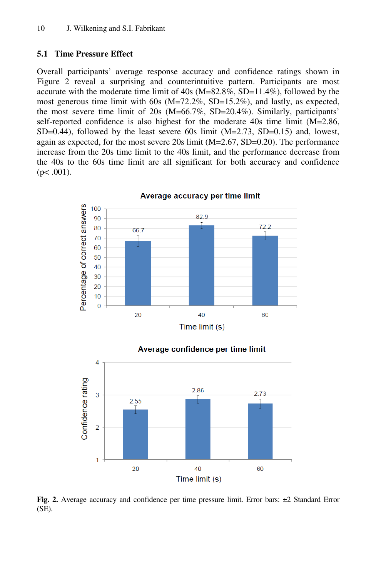#### **5.1 Time Pressure Effect**

Overall participants' average response accuracy and confidence ratings shown in Figure 2 reveal a surprising and counterintuitive pattern. Participants are most accurate with the moderate time limit of 40s (M=82.8%, SD=11.4%), followed by the most generous time limit with 60s (M=72.2%, SD=15.2%), and lastly, as expected, the most severe time limit of 20s (M=66.7%, SD=20.4%). Similarly, participants' self-reported confidence is also highest for the moderate 40s time limit (M=2.86, SD=0.44), followed by the least severe 60s limit  $(M=2.73, SD=0.15)$  and, lowest, again as expected, for the most severe 20s limit (M=2.67, SD=0.20). The performance increase from the 20s time limit to the 40s limit, and the performance decrease from the 40s to the 60s time limit are all significant for both accuracy and confidence  $(p<.001)$ .



**Fig. 2.** Average accuracy and confidence per time pressure limit. Error bars: ±2 Standard Error (SE).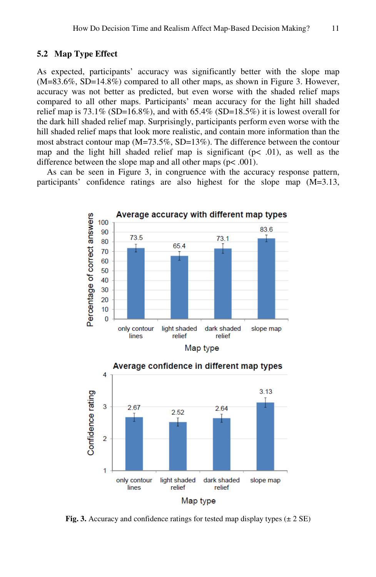#### **5.2 Map Type Effect**

As expected, participants' accuracy was significantly better with the slope map (M=83.6%, SD=14.8%) compared to all other maps, as shown in Figure 3. However, accuracy was not better as predicted, but even worse with the shaded relief maps compared to all other maps. Participants' mean accuracy for the light hill shaded relief map is  $73.1\%$  (SD=16.8%), and with  $65.4\%$  (SD=18.5%) it is lowest overall for the dark hill shaded relief map. Surprisingly, participants perform even worse with the hill shaded relief maps that look more realistic, and contain more information than the most abstract contour map (M=73.5%, SD=13%). The difference between the contour map and the light hill shaded relief map is significant  $(p< 0.01)$ , as well as the difference between the slope map and all other maps ( $p < .001$ ).

As can be seen in Figure 3, in congruence with the accuracy response pattern, participants' confidence ratings are also highest for the slope map (M=3.13,





**Fig. 3.** Accuracy and confidence ratings for tested map display types  $(\pm 2 \text{ SE})$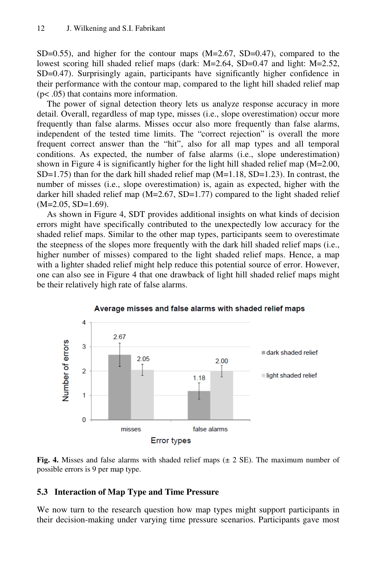SD=0.55), and higher for the contour maps (M=2.67, SD=0.47), compared to the lowest scoring hill shaded relief maps (dark: M=2.64, SD=0.47 and light: M=2.52, SD=0.47). Surprisingly again, participants have significantly higher confidence in their performance with the contour map, compared to the light hill shaded relief map (p< .05) that contains more information.

The power of signal detection theory lets us analyze response accuracy in more detail. Overall, regardless of map type, misses (i.e., slope overestimation) occur more frequently than false alarms. Misses occur also more frequently than false alarms, independent of the tested time limits. The "correct rejection" is overall the more frequent correct answer than the "hit", also for all map types and all temporal conditions. As expected, the number of false alarms (i.e., slope underestimation) shown in Figure 4 is significantly higher for the light hill shaded relief map (M=2.00,  $SD=1.75$ ) than for the dark hill shaded relief map  $(M=1.18, SD=1.23)$ . In contrast, the number of misses (i.e., slope overestimation) is, again as expected, higher with the darker hill shaded relief map (M=2.67, SD=1.77) compared to the light shaded relief  $(M=2.05, SD=1.69)$ .

As shown in Figure 4, SDT provides additional insights on what kinds of decision errors might have specifically contributed to the unexpectedly low accuracy for the shaded relief maps. Similar to the other map types, participants seem to overestimate the steepness of the slopes more frequently with the dark hill shaded relief maps (i.e., higher number of misses) compared to the light shaded relief maps. Hence, a map with a lighter shaded relief might help reduce this potential source of error. However, one can also see in Figure 4 that one drawback of light hill shaded relief maps might be their relatively high rate of false alarms.



Average misses and false alarms with shaded relief maps

**Fig. 4.** Misses and false alarms with shaded relief maps (± 2 SE). The maximum number of possible errors is 9 per map type.

## **5.3 Interaction of Map Type and Time Pressure**

We now turn to the research question how map types might support participants in their decision-making under varying time pressure scenarios. Participants gave most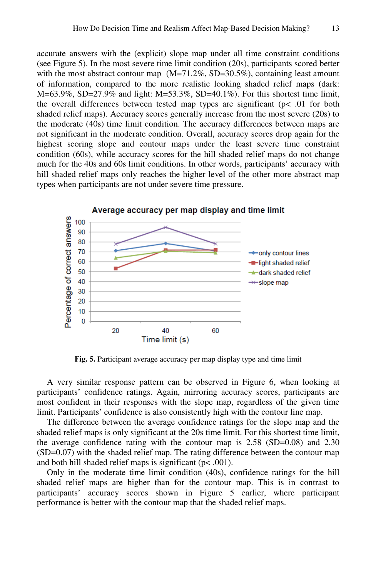accurate answers with the (explicit) slope map under all time constraint conditions (see Figure 5). In the most severe time limit condition (20s), participants scored better with the most abstract contour map  $(M=71.2\%, SD=30.5\%)$ , containing least amount of information, compared to the more realistic looking shaded relief maps (dark: M=63.9%, SD=27.9% and light: M=53.3%, SD=40.1%). For this shortest time limit, the overall differences between tested map types are significant ( $p$ < .01 for both shaded relief maps). Accuracy scores generally increase from the most severe (20s) to the moderate (40s) time limit condition. The accuracy differences between maps are not significant in the moderate condition. Overall, accuracy scores drop again for the highest scoring slope and contour maps under the least severe time constraint condition (60s), while accuracy scores for the hill shaded relief maps do not change much for the 40s and 60s limit conditions. In other words, participants' accuracy with hill shaded relief maps only reaches the higher level of the other more abstract map types when participants are not under severe time pressure.



**Fig. 5.** Participant average accuracy per map display type and time limit

A very similar response pattern can be observed in Figure 6, when looking at participants' confidence ratings. Again, mirroring accuracy scores, participants are most confident in their responses with the slope map, regardless of the given time limit. Participants' confidence is also consistently high with the contour line map.

The difference between the average confidence ratings for the slope map and the shaded relief maps is only significant at the 20s time limit. For this shortest time limit, the average confidence rating with the contour map is 2.58 (SD=0.08) and 2.30 (SD=0.07) with the shaded relief map. The rating difference between the contour map and both hill shaded relief maps is significant ( $p < .001$ ).

Only in the moderate time limit condition (40s), confidence ratings for the hill shaded relief maps are higher than for the contour map. This is in contrast to participants' accuracy scores shown in Figure 5 earlier, where participant performance is better with the contour map that the shaded relief maps.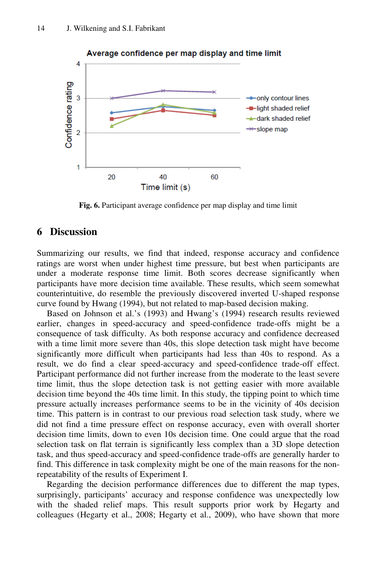

Average confidence per map display and time limit

**Fig. 6.** Participant average confidence per map display and time limit

# **6 Discussion**

Summarizing our results, we find that indeed, response accuracy and confidence ratings are worst when under highest time pressure, but best when participants are under a moderate response time limit. Both scores decrease significantly when participants have more decision time available. These results, which seem somewhat counterintuitive, do resemble the previously discovered inverted U-shaped response curve found by Hwang (1994), but not related to map-based decision making.

Based on Johnson et al.'s (1993) and Hwang's (1994) research results reviewed earlier, changes in speed-accuracy and speed-confidence trade-offs might be a consequence of task difficulty. As both response accuracy and confidence decreased with a time limit more severe than 40s, this slope detection task might have become significantly more difficult when participants had less than 40s to respond. As a result, we do find a clear speed-accuracy and speed-confidence trade-off effect. Participant performance did not further increase from the moderate to the least severe time limit, thus the slope detection task is not getting easier with more available decision time beyond the 40s time limit. In this study, the tipping point to which time pressure actually increases performance seems to be in the vicinity of 40s decision time. This pattern is in contrast to our previous road selection task study, where we did not find a time pressure effect on response accuracy, even with overall shorter decision time limits, down to even 10s decision time. One could argue that the road selection task on flat terrain is significantly less complex than a 3D slope detection task, and thus speed-accuracy and speed-confidence trade-offs are generally harder to find. This difference in task complexity might be one of the main reasons for the nonrepeatability of the results of Experiment I.

Regarding the decision performance differences due to different the map types, surprisingly, participants' accuracy and response confidence was unexpectedly low with the shaded relief maps. This result supports prior work by Hegarty and colleagues (Hegarty et al., 2008; Hegarty et al., 2009), who have shown that more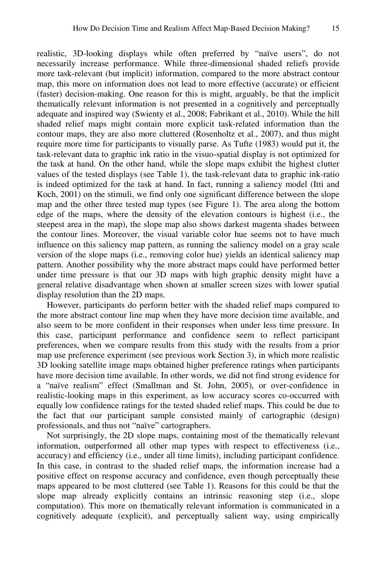realistic, 3D-looking displays while often preferred by "naïve users", do not necessarily increase performance. While three-dimensional shaded reliefs provide more task-relevant (but implicit) information, compared to the more abstract contour map, this more on information does not lead to more effective (accurate) or efficient (faster) decision-making. One reason for this is might, arguably, be that the implicit thematically relevant information is not presented in a cognitively and perceptually adequate and inspired way (Swienty et al., 2008; Fabrikant et al., 2010). While the hill shaded relief maps might contain more explicit task-related information than the contour maps, they are also more cluttered (Rosenholtz et al., 2007), and thus might require more time for participants to visually parse. As Tufte (1983) would put it, the task-relevant data to graphic ink ratio in the visuo-spatial display is not optimized for the task at hand. On the other hand, while the slope maps exhibit the highest clutter values of the tested displays (see Table 1), the task-relevant data to graphic ink-ratio is indeed optimized for the task at hand. In fact, running a saliency model (Itti and Koch, 2001) on the stimuli, we find only one significant difference between the slope map and the other three tested map types (see Figure 1). The area along the bottom edge of the maps, where the density of the elevation contours is highest (i.e., the steepest area in the map), the slope map also shows darkest magenta shades between the contour lines. Moreover, the visual variable color hue seems not to have much influence on this saliency map pattern, as running the saliency model on a gray scale version of the slope maps (i.e., removing color hue) yields an identical saliency map pattern. Another possibility why the more abstract maps could have performed better under time pressure is that our 3D maps with high graphic density might have a general relative disadvantage when shown at smaller screen sizes with lower spatial display resolution than the 2D maps.

However, participants do perform better with the shaded relief maps compared to the more abstract contour line map when they have more decision time available, and also seem to be more confident in their responses when under less time pressure. In this case, participant performance and confidence seem to reflect participant preferences, when we compare results from this study with the results from a prior map use preference experiment (see previous work Section 3), in which more realistic 3D looking satellite image maps obtained higher preference ratings when participants have more decision time available. In other words, we did not find strong evidence for a "naïve realism" effect (Smallman and St. John, 2005), or over-confidence in realistic-looking maps in this experiment, as low accuracy scores co-occurred with equally low confidence ratings for the tested shaded relief maps. This could be due to the fact that our participant sample consisted mainly of cartographic (design) professionals, and thus not "naïve" cartographers.

Not surprisingly, the 2D slope maps, containing most of the thematically relevant information, outperformed all other map types with respect to effectiveness (i.e., accuracy) and efficiency (i.e., under all time limits), including participant confidence. In this case, in contrast to the shaded relief maps, the information increase had a positive effect on response accuracy and confidence, even though perceptually these maps appeared to be most cluttered (see Table 1). Reasons for this could be that the slope map already explicitly contains an intrinsic reasoning step (i.e., slope computation). This more on thematically relevant information is communicated in a cognitively adequate (explicit), and perceptually salient way, using empirically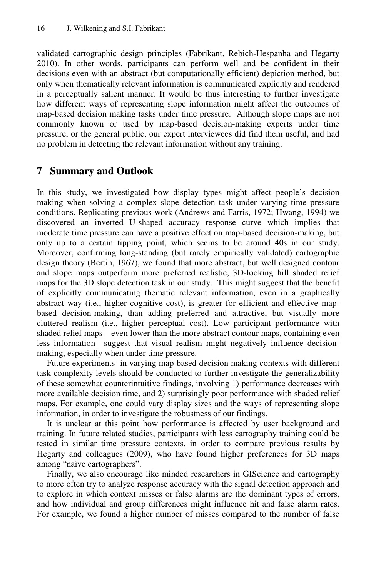validated cartographic design principles (Fabrikant, Rebich-Hespanha and Hegarty 2010). In other words, participants can perform well and be confident in their decisions even with an abstract (but computationally efficient) depiction method, but only when thematically relevant information is communicated explicitly and rendered in a perceptually salient manner. It would be thus interesting to further investigate how different ways of representing slope information might affect the outcomes of map-based decision making tasks under time pressure. Although slope maps are not commonly known or used by map-based decision-making experts under time pressure, or the general public, our expert interviewees did find them useful, and had no problem in detecting the relevant information without any training.

# **7 Summary and Outlook**

In this study, we investigated how display types might affect people's decision making when solving a complex slope detection task under varying time pressure conditions. Replicating previous work (Andrews and Farris, 1972; Hwang, 1994) we discovered an inverted U-shaped accuracy response curve which implies that moderate time pressure can have a positive effect on map-based decision-making, but only up to a certain tipping point, which seems to be around 40s in our study. Moreover, confirming long-standing (but rarely empirically validated) cartographic design theory (Bertin, 1967), we found that more abstract, but well designed contour and slope maps outperform more preferred realistic, 3D-looking hill shaded relief maps for the 3D slope detection task in our study. This might suggest that the benefit of explicitly communicating thematic relevant information, even in a graphically abstract way (i.e., higher cognitive cost), is greater for efficient and effective mapbased decision-making, than adding preferred and attractive, but visually more cluttered realism (i.e., higher perceptual cost). Low participant performance with shaded relief maps—even lower than the more abstract contour maps, containing even less information—suggest that visual realism might negatively influence decisionmaking, especially when under time pressure.

Future experiments in varying map-based decision making contexts with different task complexity levels should be conducted to further investigate the generalizability of these somewhat counterintuitive findings, involving 1) performance decreases with more available decision time, and 2) surprisingly poor performance with shaded relief maps. For example, one could vary display sizes and the ways of representing slope information, in order to investigate the robustness of our findings.

It is unclear at this point how performance is affected by user background and training. In future related studies, participants with less cartography training could be tested in similar time pressure contexts, in order to compare previous results by Hegarty and colleagues (2009), who have found higher preferences for 3D maps among "naïve cartographers".

Finally, we also encourage like minded researchers in GIScience and cartography to more often try to analyze response accuracy with the signal detection approach and to explore in which context misses or false alarms are the dominant types of errors, and how individual and group differences might influence hit and false alarm rates. For example, we found a higher number of misses compared to the number of false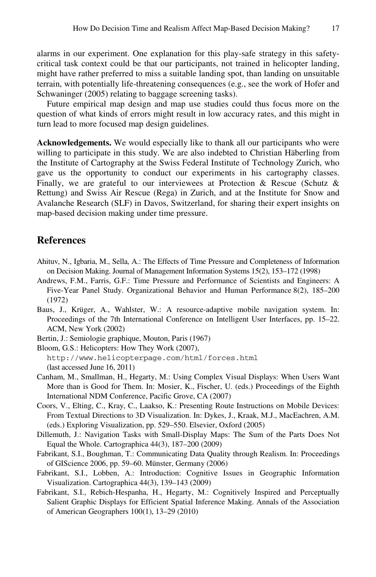alarms in our experiment. One explanation for this play-safe strategy in this safetycritical task context could be that our participants, not trained in helicopter landing, might have rather preferred to miss a suitable landing spot, than landing on unsuitable terrain, with potentially life-threatening consequences (e.g., see the work of Hofer and Schwaninger (2005) relating to baggage screening tasks).

Future empirical map design and map use studies could thus focus more on the question of what kinds of errors might result in low accuracy rates, and this might in turn lead to more focused map design guidelines.

**Acknowledgements.** We would especially like to thank all our participants who were willing to participate in this study. We are also indebted to Christian Häberling from the Institute of Cartography at the Swiss Federal Institute of Technology Zurich, who gave us the opportunity to conduct our experiments in his cartography classes. Finally, we are grateful to our interviewees at Protection & Rescue (Schutz & Rettung) and Swiss Air Rescue (Rega) in Zurich, and at the Institute for Snow and Avalanche Research (SLF) in Davos, Switzerland, for sharing their expert insights on map-based decision making under time pressure.

# **References**

- Ahituv, N., Igbaria, M., Sella, A.: The Effects of Time Pressure and Completeness of Information on Decision Making. Journal of Management Information Systems 15(2), 153–172 (1998)
- Andrews, F.M., Farris, G.F.: Time Pressure and Performance of Scientists and Engineers: A Five-Year Panel Study. Organizational Behavior and Human Performance 8(2), 185–200 (1972)
- Baus, J., Krüger, A., Wahlster, W.: A resource-adaptive mobile navigation system. In: Proceedings of the 7th International Conference on Intelligent User Interfaces, pp. 15–22. ACM, New York (2002)
- Bertin, J.: Semiologie graphique, Mouton, Paris (1967)
- Bloom, G.S.: Helicopters: How They Work (2007), http://www.helicopterpage.com/html/forces.html (last accessed June 16, 2011)
- Canham, M., Smallman, H., Hegarty, M.: Using Complex Visual Displays: When Users Want More than is Good for Them. In: Mosier, K., Fischer, U. (eds.) Proceedings of the Eighth International NDM Conference, Pacific Grove, CA (2007)
- Coors, V., Elting, C., Kray, C., Laakso, K.: Presenting Route Instructions on Mobile Devices: From Textual Directions to 3D Visualization. In: Dykes, J., Kraak, M.J., MacEachren, A.M. (eds.) Exploring Visualization, pp. 529–550. Elsevier, Oxford (2005)
- Dillemuth, J.: Navigation Tasks with Small-Display Maps: The Sum of the Parts Does Not Equal the Whole. Cartographica 44(3), 187–200 (2009)
- Fabrikant, S.I., Boughman, T.: Communicating Data Quality through Realism. In: Proceedings of GIScience 2006, pp. 59–60. Münster, Germany (2006)
- Fabrikant, S.I., Lobben, A.: Introduction: Cognitive Issues in Geographic Information Visualization. Cartographica 44(3), 139–143 (2009)
- Fabrikant, S.I., Rebich-Hespanha, H., Hegarty, M.: Cognitively Inspired and Perceptually Salient Graphic Displays for Efficient Spatial Inference Making. Annals of the Association of American Geographers 100(1), 13–29 (2010)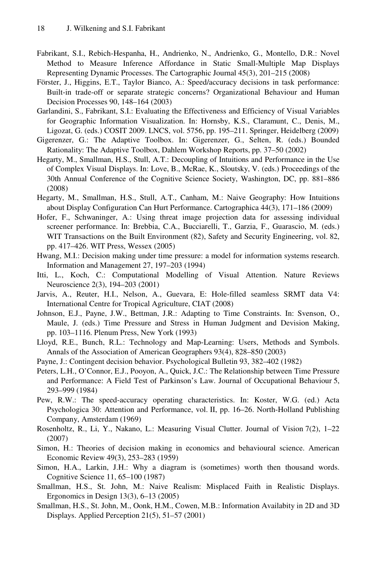- Fabrikant, S.I., Rebich-Hespanha, H., Andrienko, N., Andrienko, G., Montello, D.R.: Novel Method to Measure Inference Affordance in Static Small-Multiple Map Displays Representing Dynamic Processes. The Cartographic Journal 45(3), 201–215 (2008)
- Förster, J., Higgins, E.T., Taylor Bianco, A.: Speed/accuracy decisions in task performance: Built-in trade-off or separate strategic concerns? Organizational Behaviour and Human Decision Processes 90, 148–164 (2003)
- Garlandini, S., Fabrikant, S.I.: Evaluating the Effectiveness and Efficiency of Visual Variables for Geographic Information Visualization. In: Hornsby, K.S., Claramunt, C., Denis, M., Ligozat, G. (eds.) COSIT 2009. LNCS, vol. 5756, pp. 195–211. Springer, Heidelberg (2009)
- Gigerenzer, G.: The Adaptive Toolbox. In: Gigerenzer, G., Selten, R. (eds.) Bounded Rationality: The Adaptive Toolbox, Dahlem Workshop Reports, pp. 37–50 (2002)
- Hegarty, M., Smallman, H.S., Stull, A.T.: Decoupling of Intuitions and Performance in the Use of Complex Visual Displays. In: Love, B., McRae, K., Sloutsky, V. (eds.) Proceedings of the 30th Annual Conference of the Cognitive Science Society, Washington, DC, pp. 881–886 (2008)
- Hegarty, M., Smallman, H.S., Stull, A.T., Canham, M.: Naive Geography: How Intuitions about Display Configuration Can Hurt Performance. Cartographica 44(3), 171–186 (2009)
- Hofer, F., Schwaninger, A.: Using threat image projection data for assessing individual screener performance. In: Brebbia, C.A., Bucciarelli, T., Garzia, F., Guarascio, M. (eds.) WIT Transactions on the Built Environment (82), Safety and Security Engineering, vol. 82, pp. 417–426. WIT Press, Wessex (2005)
- Hwang, M.I.: Decision making under time pressure: a model for information systems research. Information and Management 27, 197–203 (1994)
- Itti, L., Koch, C.: Computational Modelling of Visual Attention. Nature Reviews Neuroscience 2(3), 194–203 (2001)
- Jarvis, A., Reuter, H.I., Nelson, A., Guevara, E: Hole-filled seamless SRMT data V4: International Centre for Tropical Agriculture, CIAT (2008)
- Johnson, E.J., Payne, J.W., Bettman, J.R.: Adapting to Time Constraints. In: Svenson, O., Maule, J. (eds.) Time Pressure and Stress in Human Judgment and Devision Making, pp. 103–1116. Plenum Press, New York (1993)
- Lloyd, R.E., Bunch, R.L.: Technology and Map-Learning: Users, Methods and Symbols. Annals of the Association of American Geographers 93(4), 828–850 (2003)
- Payne, J.: Contingent decision behavior. Psychological Bulletin 93, 382–402 (1982)
- Peters, L.H., O'Connor, E.J., Pooyon, A., Quick, J.C.: The Relationship between Time Pressure and Performance: A Field Test of Parkinson's Law. Journal of Occupational Behaviour 5, 293–999 (1984)
- Pew, R.W.: The speed-accuracy operating characteristics. In: Koster, W.G. (ed.) Acta Psychologica 30: Attention and Performance, vol. II, pp. 16–26. North-Holland Publishing Company, Amsterdam (1969)
- Rosenholtz, R., Li, Y., Nakano, L.: Measuring Visual Clutter. Journal of Vision 7(2), 1–22 (2007)
- Simon, H.: Theories of decision making in economics and behavioural science. American Economic Review 49(3), 253–283 (1959)
- Simon, H.A., Larkin, J.H.: Why a diagram is (sometimes) worth then thousand words. Cognitive Science 11, 65–100 (1987)
- Smallman, H.S., St. John, M.: Naive Realism: Misplaced Faith in Realistic Displays. Ergonomics in Design 13(3), 6–13 (2005)
- Smallman, H.S., St. John, M., Oonk, H.M., Cowen, M.B.: Information Availabity in 2D and 3D Displays. Applied Perception 21(5), 51–57 (2001)